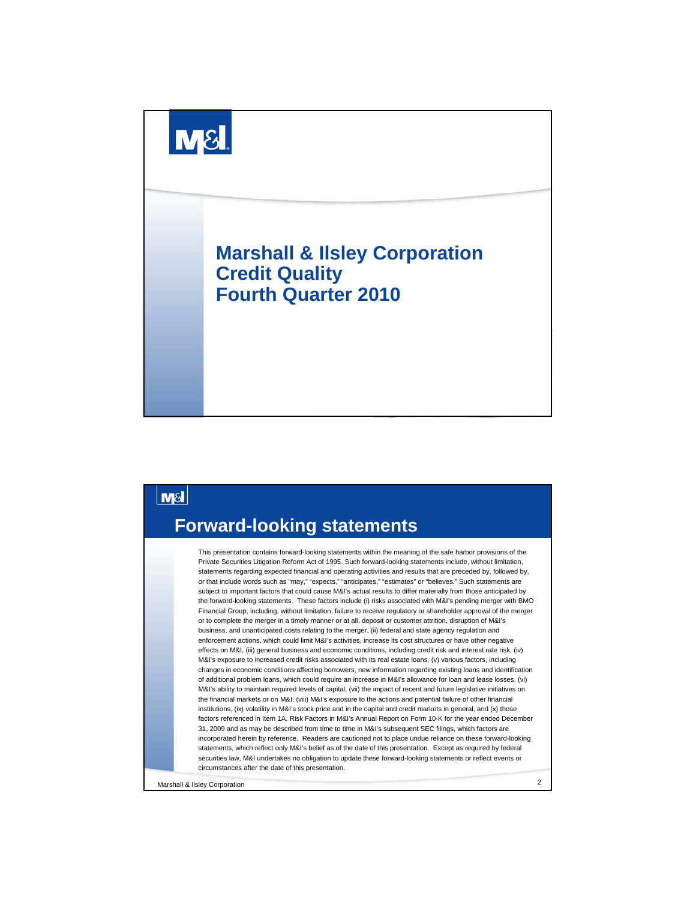

#### **M&I Forward-looking statements** This presentation contains forward-looking statements within the meaning of the safe harbor provisions of the Private Securities Litigation Reform Act of 1995. Such forward-looking statements include, without limitation, statements regarding expected financial and operating activities and results that are preceded by, followed by, or that include words such as "may," "expects," "anticipates," "estimates" or "believes." Such statements are subject to important factors that could cause M&I's actual results to differ materially from those anticipated by the forward-looking statements. These factors include (i) risks associated with M&I's pending merger with BMO Financial Group, including, without limitation, failure to receive regulatory or shareholder approval of the merger or to complete the merger in a timely manner or at all, deposit or customer attrition, disruption of M&I's business, and unanticipated costs relating to the merger, (ii) federal and state agency regulation and enforcement actions, which could limit M&I's activities, increase its cost structures or have other negative effects on M&I, (iii) general business and economic conditions, including credit risk and interest rate risk, (iv) M&I's exposure to increased credit risks associated with its real estate loans, (v) various factors, including changes in economic conditions affecting borrowers, new information regarding existing loans and identification of additional problem loans, which could require an increase in M&I's allowance for loan and lease losses, (vi) M&I's ability to maintain required levels of capital, (vii) the impact of recent and future legislative initiatives on the financial markets or on M&I, (viii) M&I's exposure to the actions and potential failure of other financial institutions, (ix) volatility in M&I's stock price and in the capital and credit markets in general, and (x) those factors referenced in Item 1A. Risk Factors in M&I's Annual Report on Form 10-K for the year ended December 31, 2009 and as may be described from time to time in M&I's subsequent SEC filings, which factors are incorporated herein by reference. Readers are cautioned not to place undue reliance on these forward-looking statements, which reflect only M&I's belief as of the date of this presentation. Except as required by federal securities law, M&I undertakes no obligation to update these forward-looking statements or reflect events or circumstances after the date of this presentation.Marshall & Ilsley Corporation 2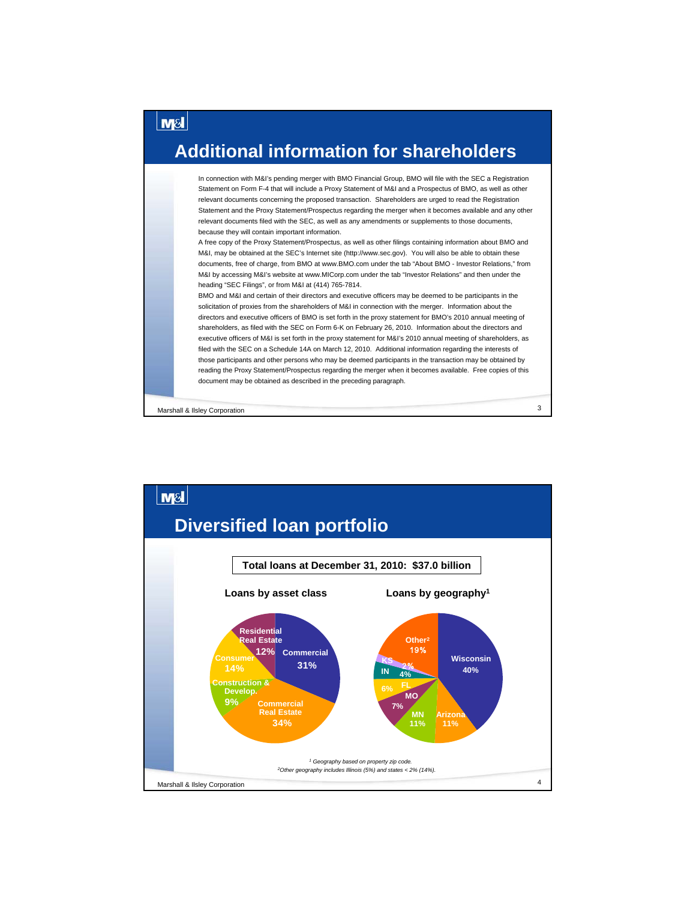#### **Additional information for shareholders**

In connection with M&I's pending merger with BMO Financial Group, BMO will file with the SEC a Registration Statement on Form F-4 that will include a Proxy Statement of M&I and a Prospectus of BMO, as well as other relevant documents concerning the proposed transaction. Shareholders are urged to read the Registration Statement and the Proxy Statement/Prospectus regarding the merger when it becomes available and any other relevant documents filed with the SEC, as well as any amendments or supplements to those documents, because they will contain important information.

A free copy of the Proxy Statement/Prospectus, as well as other filings containing information about BMO and M&I, may be obtained at the SEC's Internet site (http://www.sec.gov). You will also be able to obtain these documents, free of charge, from BMO at www.BMO.com under the tab "About BMO - Investor Relations," from M&I by accessing M&I's website at www.MICorp.com under the tab "Investor Relations" and then under the heading "SEC Filings", or from M&I at (414) 765-7814.

BMO and M&I and certain of their directors and executive officers may be deemed to be participants in the solicitation of proxies from the shareholders of M&I in connection with the merger. Information about the directors and executive officers of BMO is set forth in the proxy statement for BMO's 2010 annual meeting of shareholders, as filed with the SEC on Form 6-K on February 26, 2010. Information about the directors and executive officers of M&I is set forth in the proxy statement for M&I's 2010 annual meeting of shareholders, as filed with the SEC on a Schedule 14A on March 12, 2010. Additional information regarding the interests of those participants and other persons who may be deemed participants in the transaction may be obtained by reading the Proxy Statement/Prospectus regarding the merger when it becomes available. Free copies of this document may be obtained as described in the preceding paragraph.

Marshall & Ilsley Corporation 3

**M<sub>SI</sub>** 

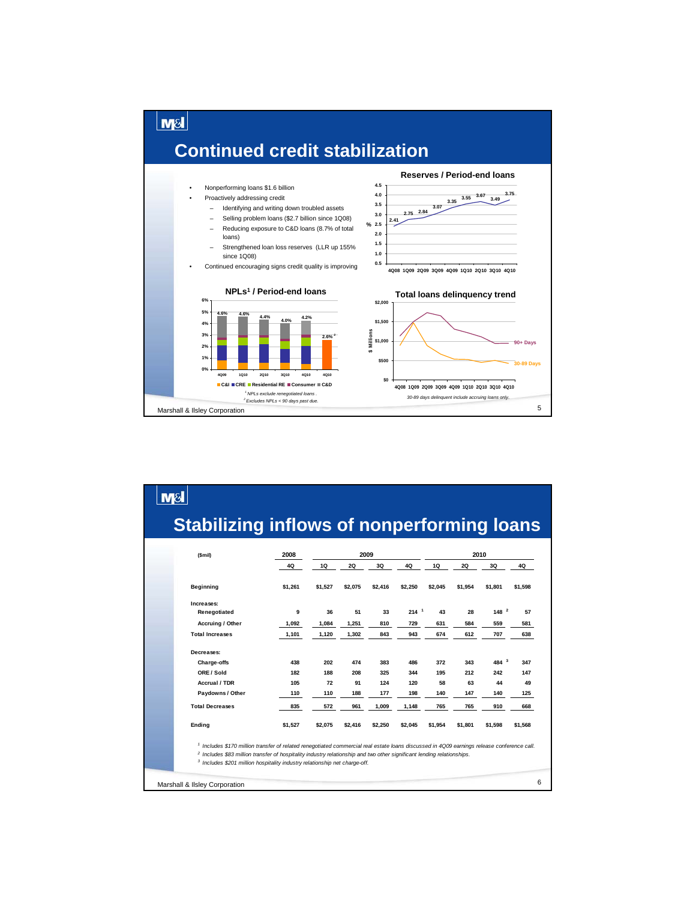

## **Stabilizing inflows of nonperforming loans**

M<sub>8</sub>

| (Smil)                                                                                                                                                | 2008    |         | 2009      |         |                  |         |           | 2010      |         |
|-------------------------------------------------------------------------------------------------------------------------------------------------------|---------|---------|-----------|---------|------------------|---------|-----------|-----------|---------|
|                                                                                                                                                       | 4Q      | 1Q      | <b>2Q</b> | 3Q      | 4Q               | 1Q      | <b>2Q</b> | 3Q        | 4Q      |
| Beginning                                                                                                                                             | \$1,261 | \$1,527 | \$2,075   | \$2,416 | \$2,250          | \$2,045 | \$1,954   | \$1,801   | \$1,598 |
| Increases:                                                                                                                                            |         |         |           |         |                  |         |           |           |         |
| Renegotiated                                                                                                                                          | 9       | 36      | 51        | 33      | 214 <sup>1</sup> | 43      | 28        | $148^{2}$ | 57      |
| Accruing / Other                                                                                                                                      | 1,092   | 1,084   | 1,251     | 810     | 729              | 631     | 584       | 559       | 581     |
| <b>Total Increases</b>                                                                                                                                | 1,101   | 1,120   | 1,302     | 843     | 943              | 674     | 612       | 707       | 638     |
| Decreases:                                                                                                                                            |         |         |           |         |                  |         |           |           |         |
| Charge-offs                                                                                                                                           | 438     | 202     | 474       | 383     | 486              | 372     | 343       | 484 $3$   | 347     |
| ORE / Sold                                                                                                                                            | 182     | 188     | 208       | 325     | 344              | 195     | 212       | 242       | 147     |
| Accrual / TDR                                                                                                                                         | 105     | 72      | 91        | 124     | 120              | 58      | 63        | 44        | 49      |
| Paydowns / Other                                                                                                                                      | 110     | 110     | 188       | 177     | 198              | 140     | 147       | 140       | 125     |
| <b>Total Decreases</b>                                                                                                                                | 835     | 572     | 961       | 1,009   | 1,148            | 765     | 765       | 910       | 668     |
| Ending                                                                                                                                                | \$1,527 | \$2,075 | \$2,416   | \$2,250 | \$2,045          | \$1,954 | \$1,801   | \$1,598   | \$1,568 |
| <sup>1</sup> Includes \$170 million transfer of related renegotiated commercial real estate loans discussed in 4Q09 earnings release conference call. |         |         |           |         |                  |         |           |           |         |
| <sup>2</sup> Includes \$83 million transfer of hospitality industry relationship and two other significant lending relationships.                     |         |         |           |         |                  |         |           |           |         |
| <sup>3</sup> Includes \$201 million hospitality industry relationship net charge-off.                                                                 |         |         |           |         |                  |         |           |           |         |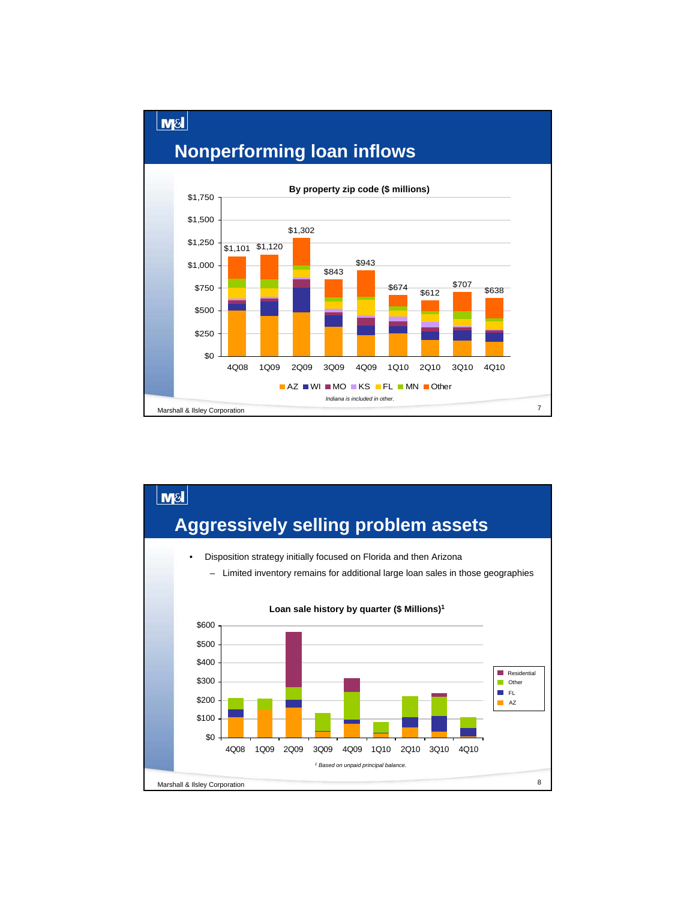#### **Nonperforming loan inflows**

 $M<sub>8</sub>$ 



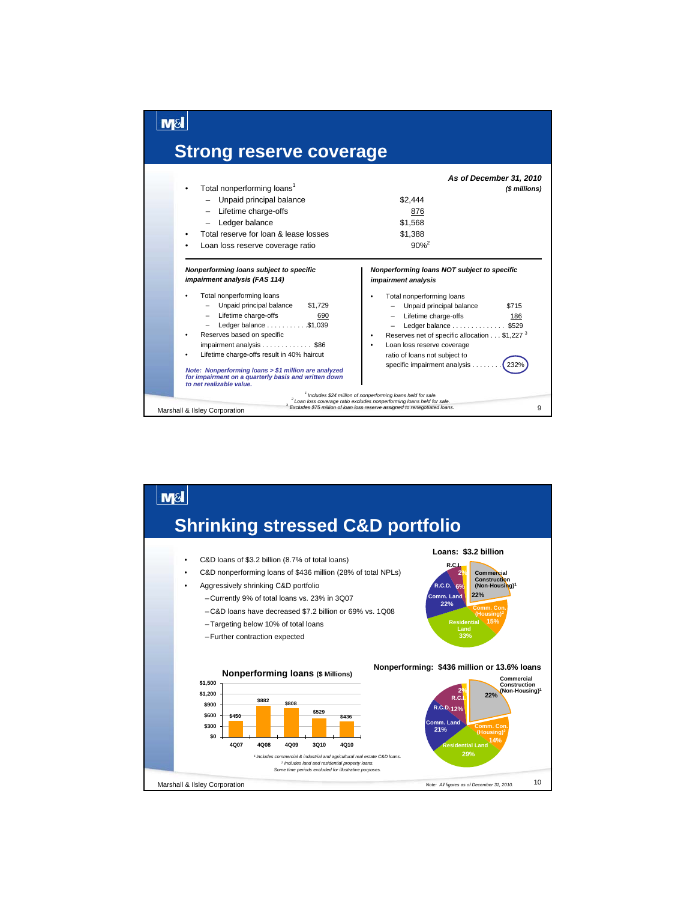

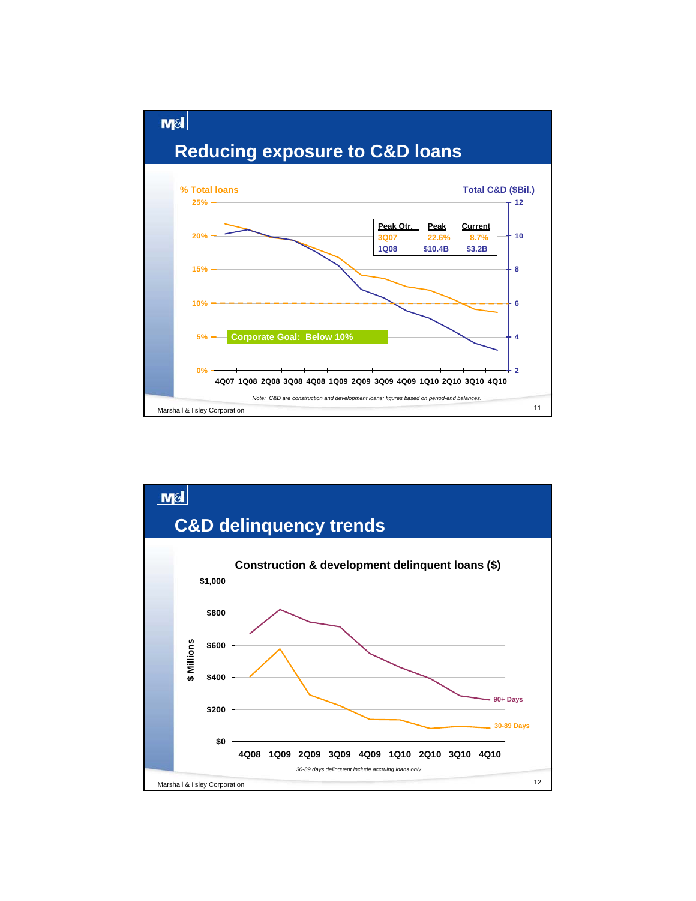

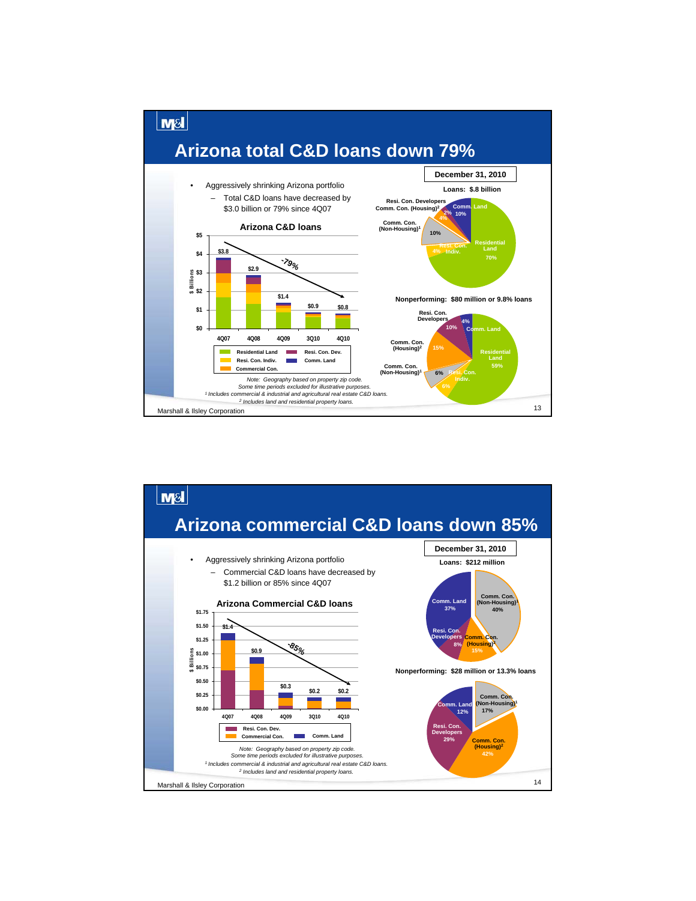

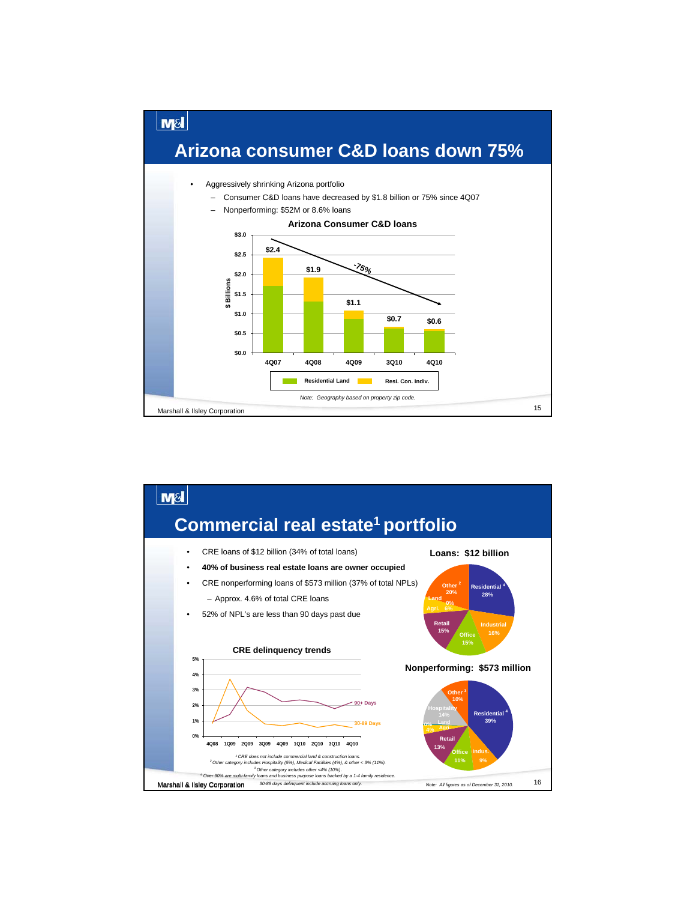

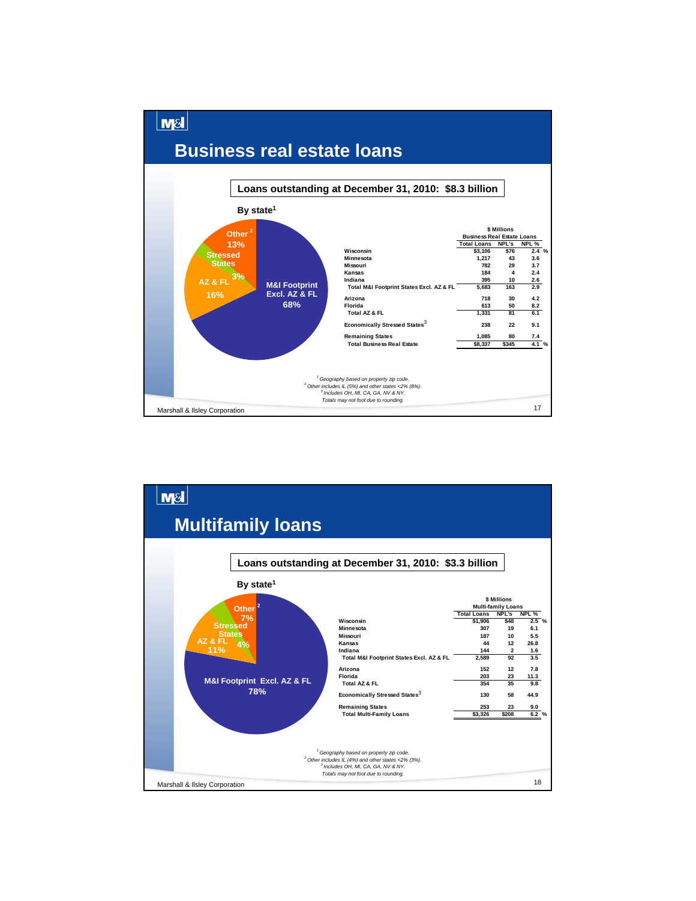

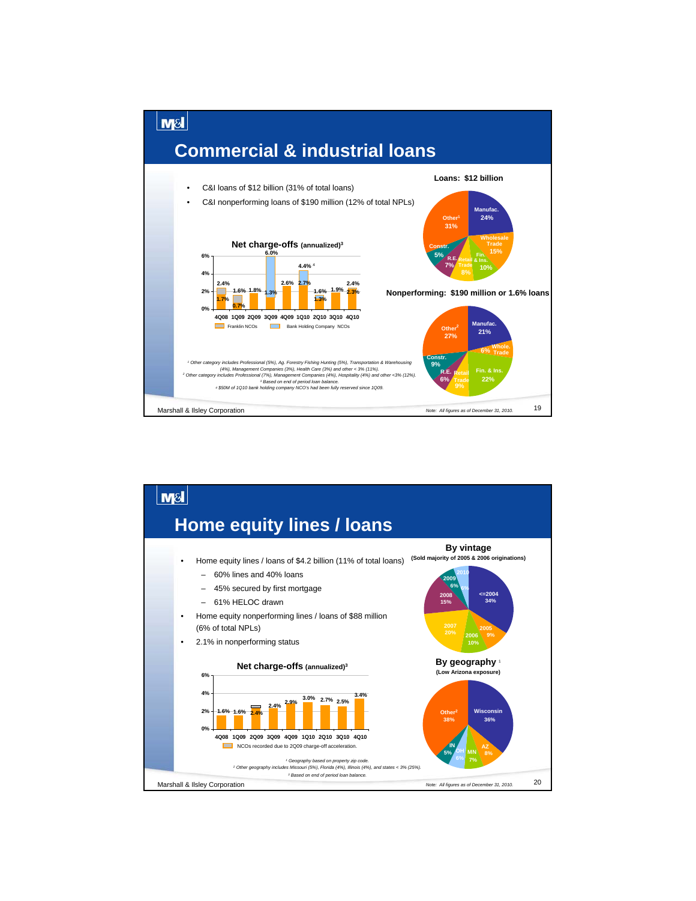

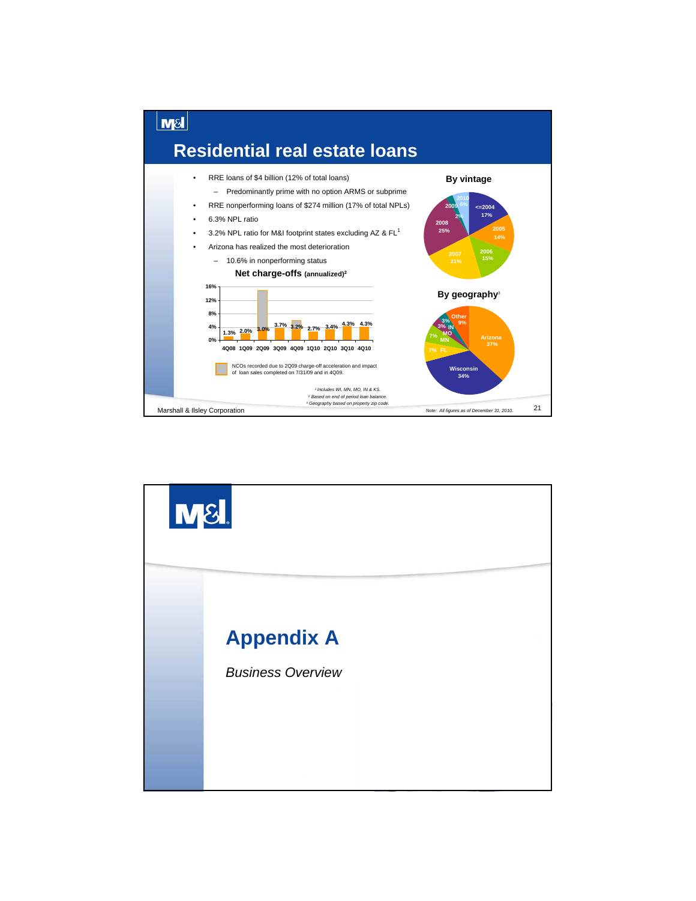

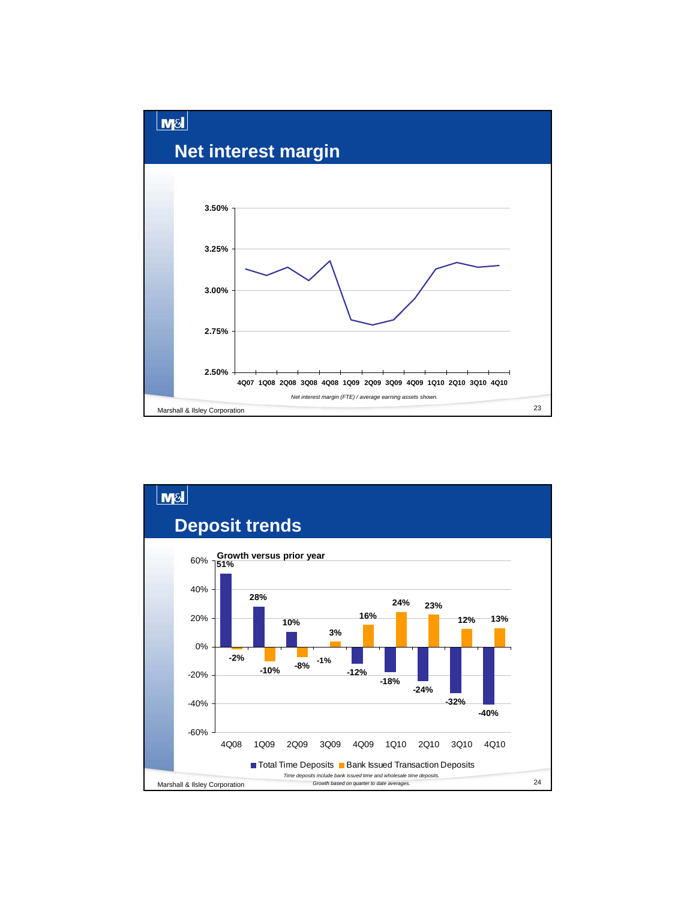

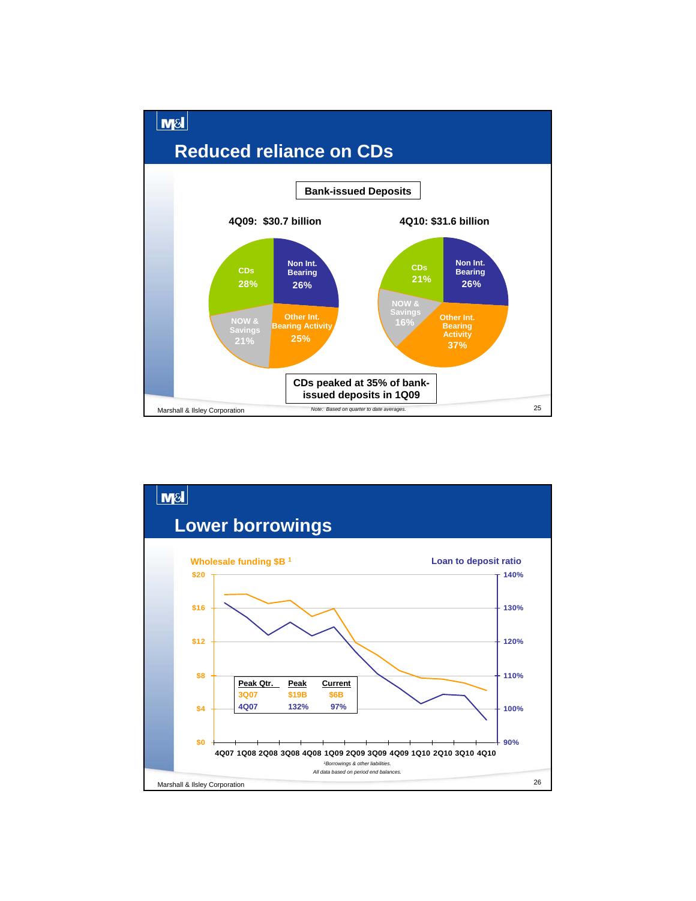

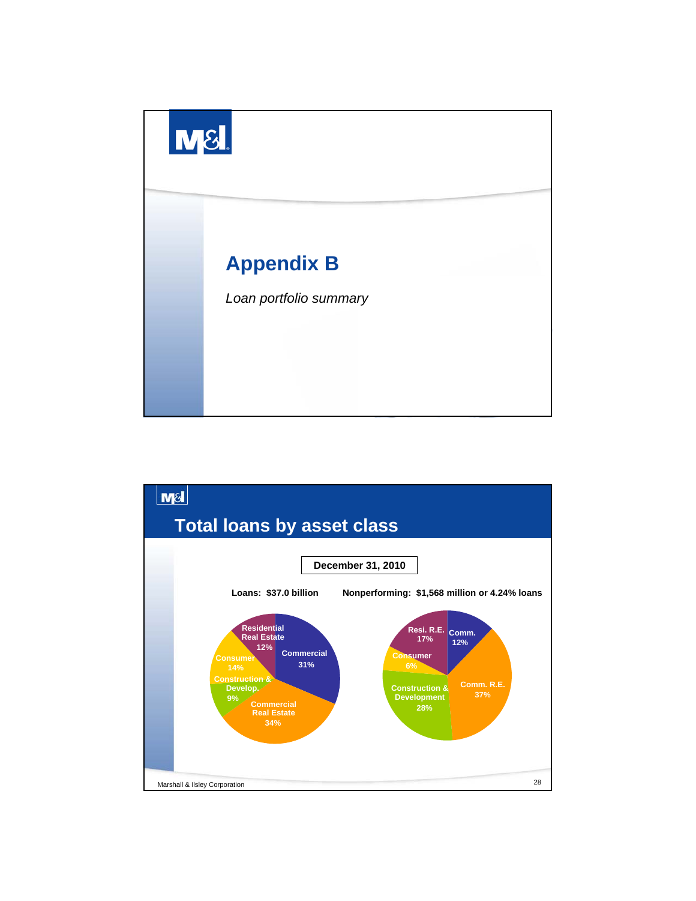

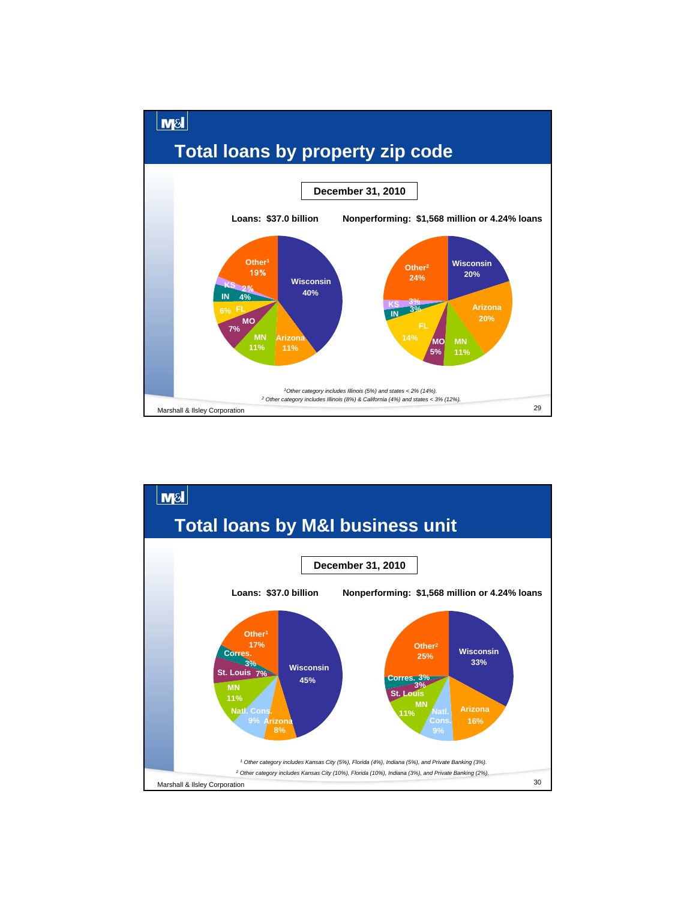

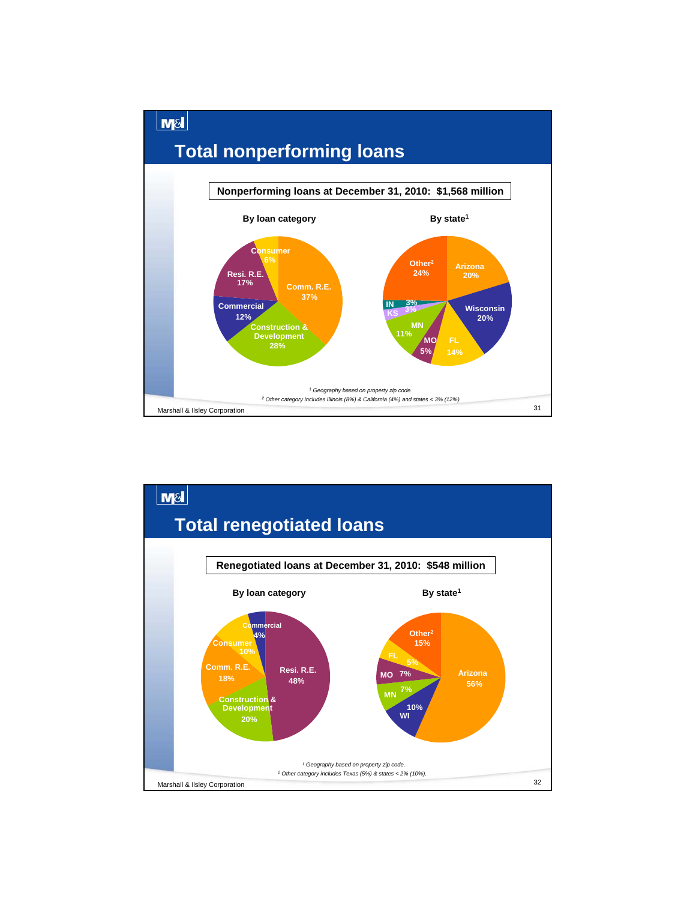

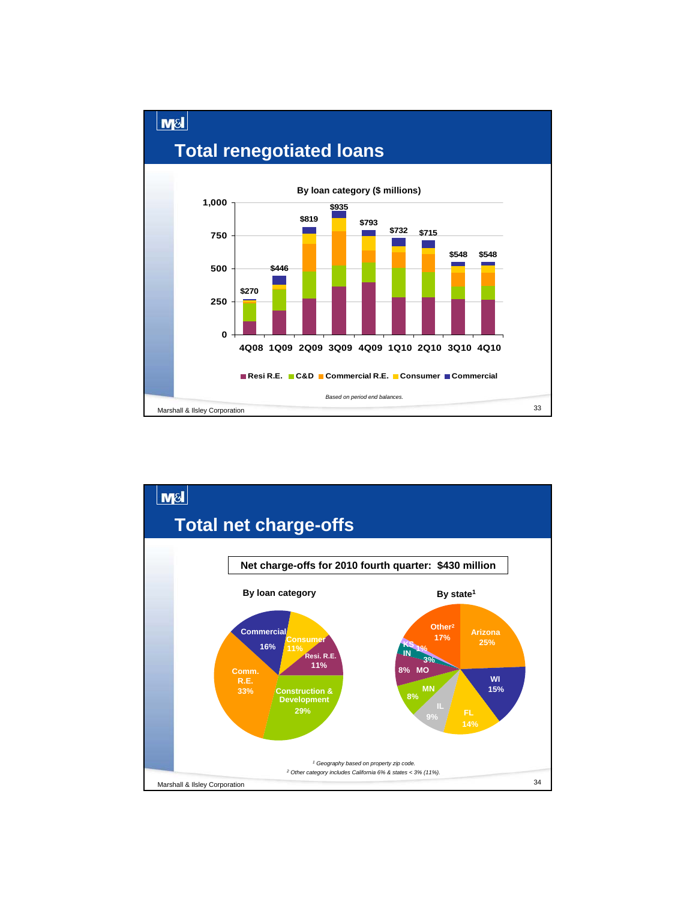

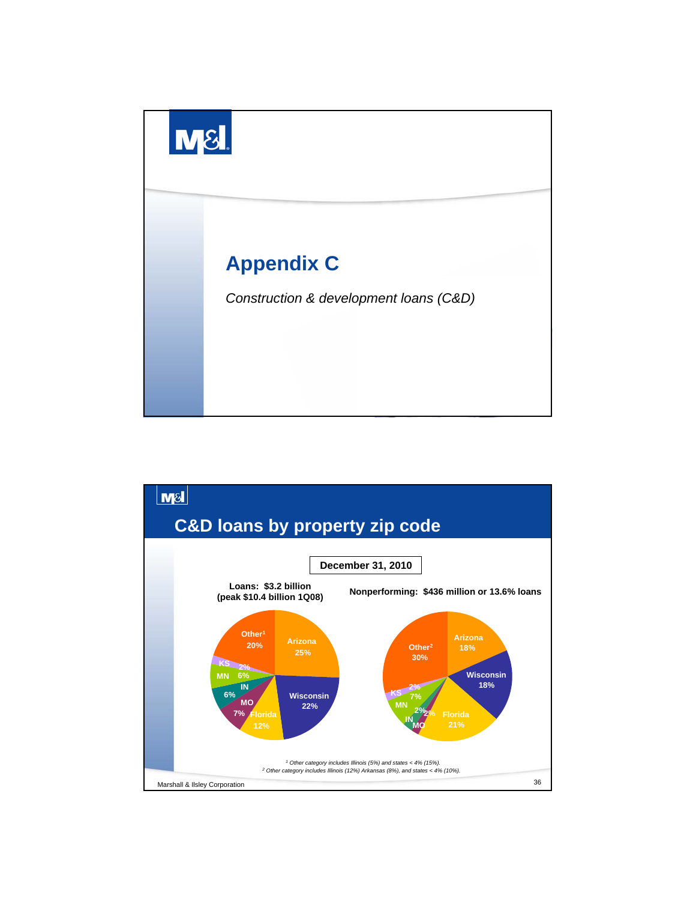

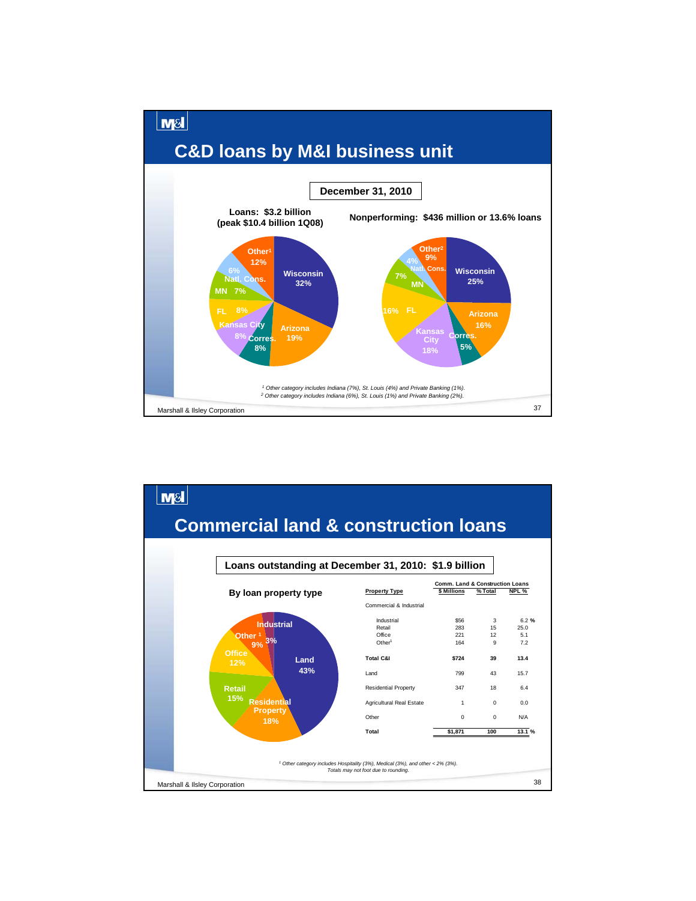

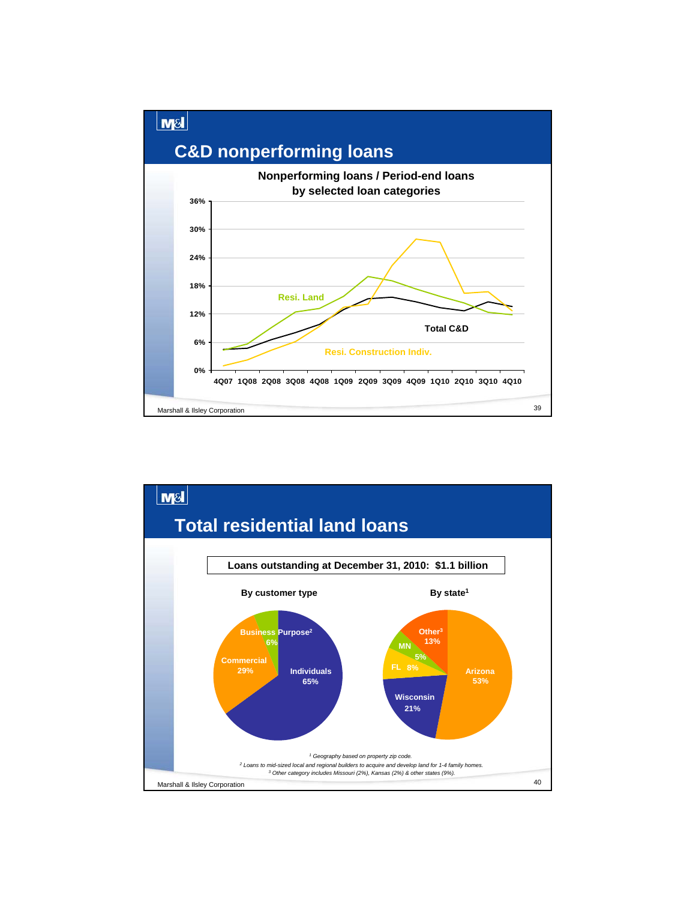

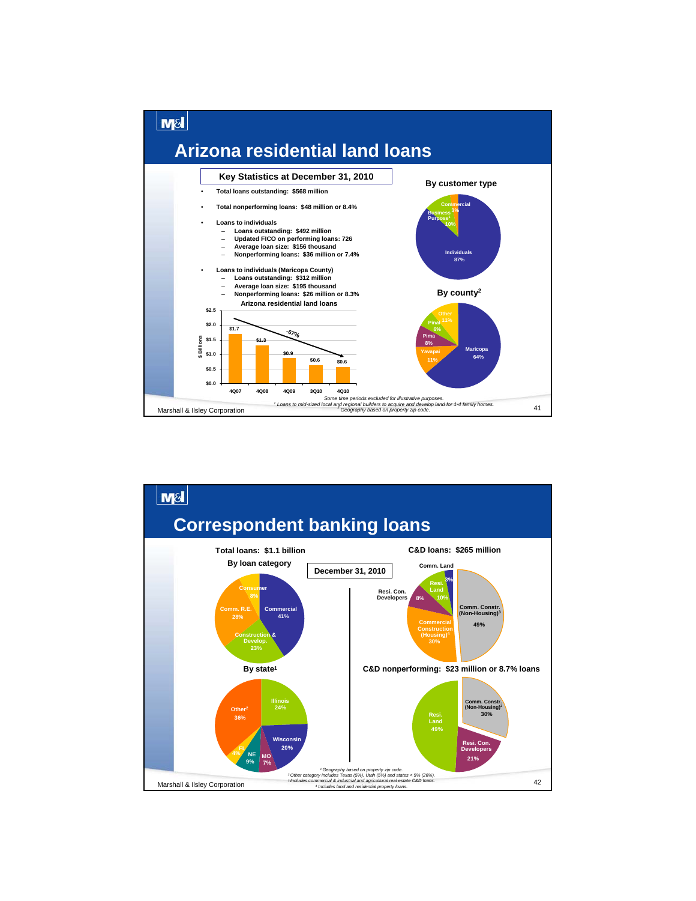

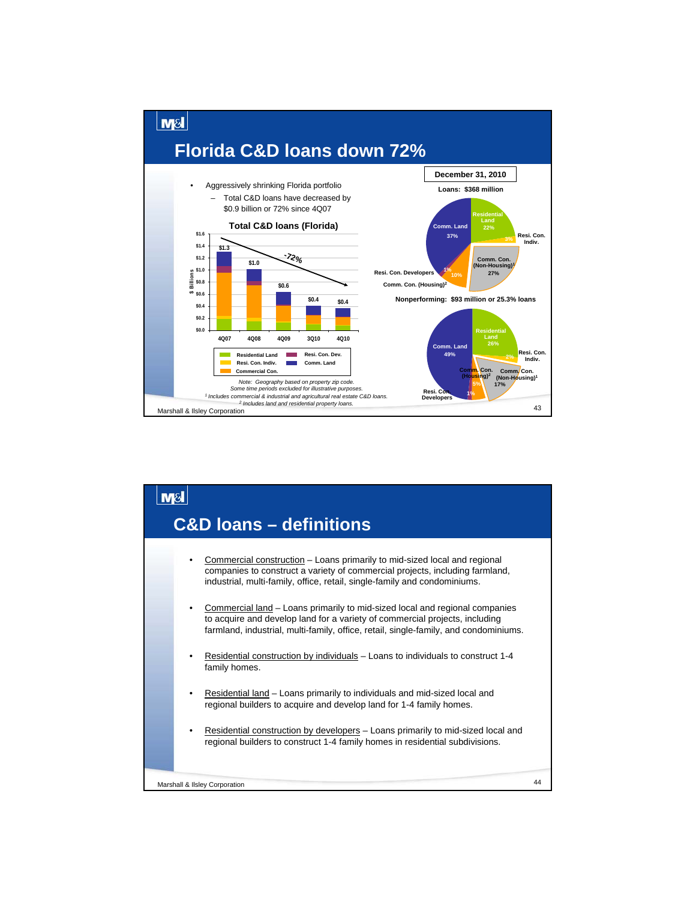

#### $M<sub>S</sub>$ **C&D loans – definitions**• Commercial construction – Loans primarily to mid-sized local and regional companies to construct a variety of commercial projects, including farmland, industrial, multi-family, office, retail, single-family and condominiums. • Commercial land – Loans primarily to mid-sized local and regional companies to acquire and develop land for a variety of commercial projects, including farmland, industrial, multi-family, office, retail, single-family, and condominiums. • Residential construction by individuals – Loans to individuals to construct 1-4 family homes. • Residential land – Loans primarily to individuals and mid-sized local and regional builders to acquire and develop land for 1-4 family homes. Residential construction by developers - Loans primarily to mid-sized local and regional builders to construct 1-4 family homes in residential subdivisions. 44 Marshall & Ilsley Corporation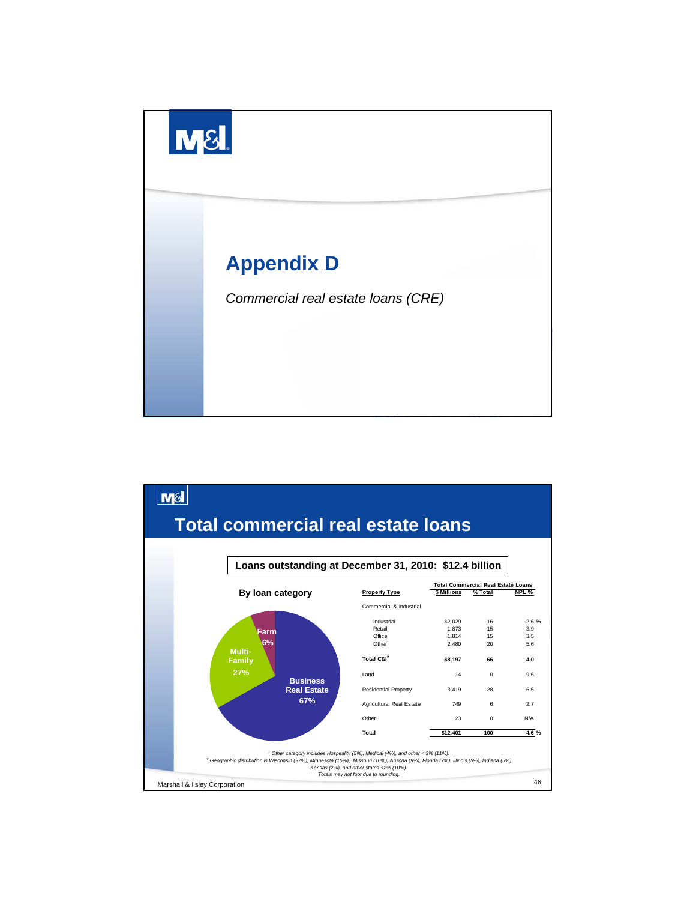

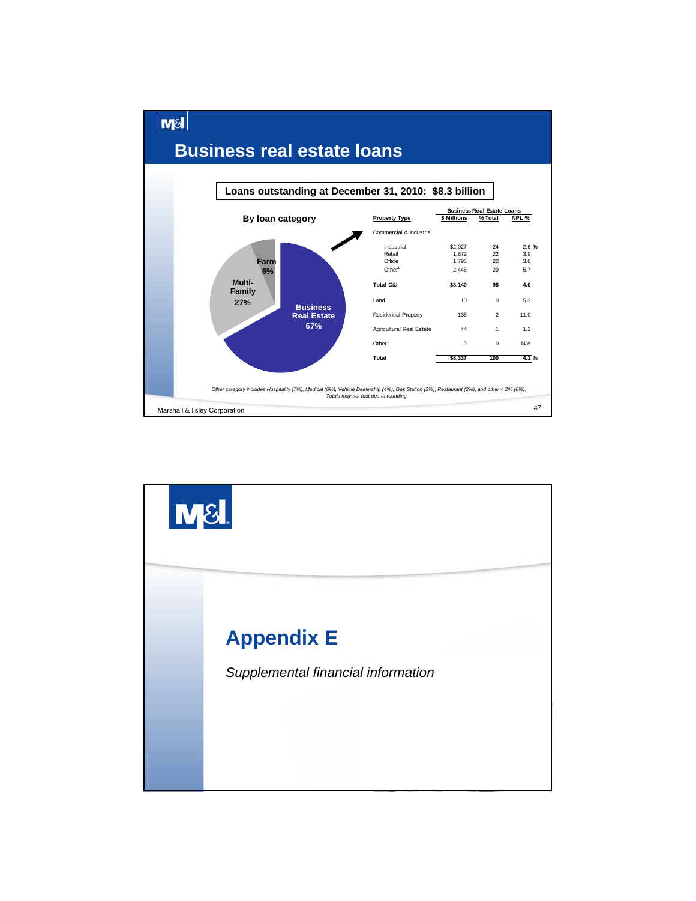

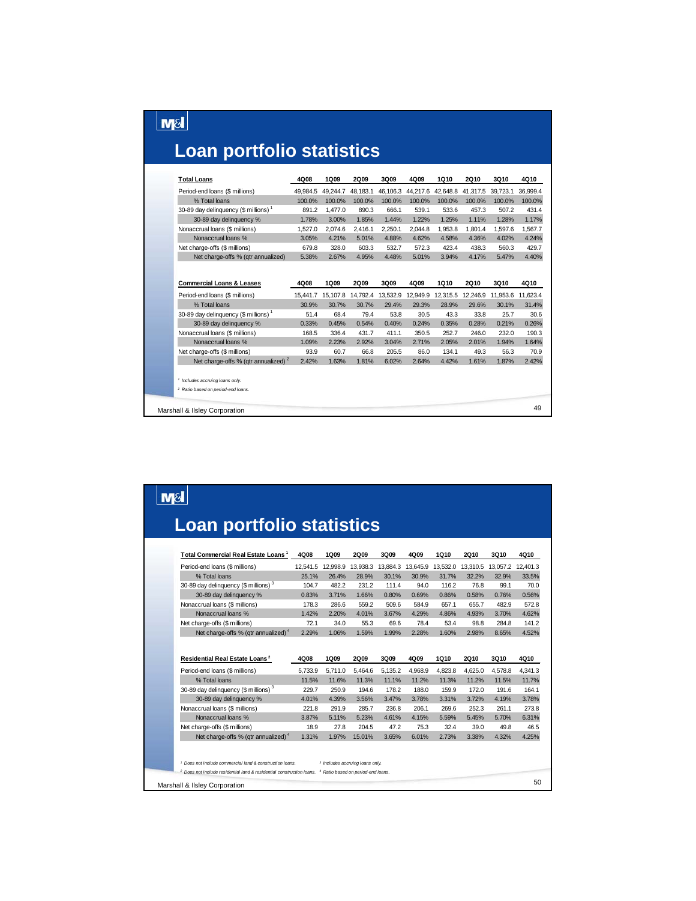#### **Loan portfolio statistics**

 $\boxed{\text{MSI}}$ 

| <b>Total Loans</b>                                                                          | 4Q08     | 1Q09     | <b>2Q09</b> | 3Q09     | 4Q09     | 1Q10     | <b>2Q10</b> | 3Q10              | 4Q10     |
|---------------------------------------------------------------------------------------------|----------|----------|-------------|----------|----------|----------|-------------|-------------------|----------|
| Period-end loans (\$ millions)                                                              | 49.984.5 | 49.244.7 | 48.183.1    | 46.106.3 | 44.217.6 | 42.648.8 | 41.317.5    | 39,723.1          | 36.999.4 |
| % Total loans                                                                               | 100.0%   | 100.0%   | 100.0%      | 100.0%   | 100.0%   | 100.0%   | 100.0%      | 100.0%            | 100.0%   |
| 30-89 day delinquency (\$ millions) <sup>1</sup>                                            | 891.2    | 1.477.0  | 890.3       | 666.1    | 539.1    | 533.6    | 457.3       | 507.2             | 431.4    |
| 30-89 day delinquency %                                                                     | 1.78%    | 3.00%    | 1.85%       | 1.44%    | 1.22%    | 1.25%    | 1.11%       | 1.28%             | 1.17%    |
| Nonaccrual loans (\$ millions)                                                              | 1,527.0  | 2,074.6  | 2,416.1     | 2,250.1  | 2,044.8  | 1,953.8  | 1,801.4     | 1,597.6           | 1,567.7  |
| Nonaccrual loans %                                                                          | 3.05%    | 4.21%    | 5.01%       | 4.88%    | 4.62%    | 4.58%    | 4.36%       | 4.02%             | 4.24%    |
| Net charge-offs (\$ millions)                                                               | 679.8    | 328.0    | 603.3       | 532.7    | 572.3    | 423.4    | 438.3       | 560.3             | 429.7    |
| Net charge-offs % (gtr annualized)                                                          | 5.38%    | 2.67%    | 4.95%       | 4.48%    | 5.01%    | 3.94%    | 4.17%       | 5.47%             | 4.40%    |
| <b>Commercial Loans &amp; Leases</b>                                                        | 4Q08     | 1Q09     | <b>2Q09</b> | 3Q09     | 4Q09     | 1Q10     | 2Q10        | <b>3Q10</b>       | 4Q10     |
| Period-end loans (\$ millions)                                                              | 15.441.7 | 15,107.8 | 14,792.4    | 13,532.9 | 12,949.9 | 12,315.5 | 12,246.9    | 11.953.6 11.623.4 |          |
| % Total loans                                                                               | 30.9%    | 30.7%    | 30.7%       | 29.4%    | 29.3%    | 28.9%    | 29.6%       | 30.1%             | 31.4%    |
| 30-89 day delinguency (\$ millions) <sup>1</sup>                                            | 51.4     | 68.4     | 79.4        | 53.8     | 30.5     | 43.3     | 33.8        | 25.7              | 30.6     |
| 30-89 day delinquency %                                                                     | 0.33%    | 0.45%    | 0.54%       | 0.40%    | 0.24%    | 0.35%    | 0.28%       | 0.21%             | 0.26%    |
| Nonaccrual loans (\$ millions)                                                              | 168.5    | 336.4    | 431.7       | 411.1    | 350.5    | 252.7    | 246.0       | 232.0             | 190.3    |
| Nonaccrual loans %                                                                          | 1.09%    | 2.23%    | 2.92%       | 3.04%    | 2.71%    | 2.05%    | 2.01%       | 1.94%             | 1.64%    |
| Net charge-offs (\$ millions)                                                               | 93.9     | 60.7     | 66.8        | 205.5    | 86.0     | 134.1    | 49.3        | 56.3              | 70.9     |
| Net charge-offs % (qtr annualized) <sup>2</sup>                                             | 2.42%    | 1.63%    | 1.81%       | 6.02%    | 2.64%    | 4.42%    | 1.61%       | 1.87%             | 2.42%    |
| <sup>1</sup> Includes accruing loans only.<br><sup>2</sup> Ratio based on period-end loans. |          |          |             |          |          |          |             |                   |          |
| Marshall & Ilsley Corporation                                                               |          |          |             |          |          |          |             |                   | 49       |

## $\boxed{\text{M8}}$ **Loan portfolio statistics**

| 4Q08                                                                         | 1Q09                                                | 2Q09          | 3Q09          | 4Q09          | 1Q10          | 2010          | <b>3Q10</b>                      | 4Q10                                              |
|------------------------------------------------------------------------------|-----------------------------------------------------|---------------|---------------|---------------|---------------|---------------|----------------------------------|---------------------------------------------------|
| 12.541.5                                                                     | 12.998.9                                            | 13.938.3      | 13.884.3      | 13.645.9      |               | 13.310.5      | 13.057.2                         | 12.401.3                                          |
| 25.1%                                                                        | 26.4%                                               | 28.9%         | 30.1%         | 30.9%         | 31.7%         | 32.2%         | 32.9%                            | 33.5%                                             |
| 104.7                                                                        | 482.2                                               | 231.2         | 111.4         | 94.0          | 116.2         | 76.8          | 99.1                             | 70.0                                              |
| 0.83%                                                                        | 3.71%                                               | 1.66%         | 0.80%         | 0.69%         | 0.86%         | 0.58%         | 0.76%                            | 0.56%                                             |
| 178.3                                                                        | 286.6                                               | 559.2         | 509.6         | 584.9         | 657.1         | 655.7         | 482.9                            | 572.8                                             |
| 1.42%                                                                        | 2.20%                                               | 4.01%         | 3.67%         | 4.29%         | 4.86%         | 4.93%         | 3.70%                            | 4.62%                                             |
| 72.1                                                                         | 34.0                                                | 55.3          | 69.6          | 78.4          | 53.4          | 98.8          | 284.8                            | 141.2                                             |
| 2.29%                                                                        | 1.06%                                               | 1.59%         | 1.99%         | 2.28%         | 1.60%         | 2.98%         | 8.65%                            | 4.52%                                             |
| 5.733.9                                                                      | 5.711.0                                             | 5.464.6       | 5.135.2       | 4.968.9       | 4.823.8       | 4.625.0       | 4.578.8                          | 4.341.3                                           |
|                                                                              |                                                     |               |               |               |               |               |                                  | 4Q10                                              |
|                                                                              |                                                     |               |               |               |               |               |                                  | 11.7%                                             |
|                                                                              |                                                     |               |               | 188.0         |               |               |                                  |                                                   |
|                                                                              |                                                     |               |               |               |               |               |                                  |                                                   |
| 229.7                                                                        | 250.9                                               | 194.6         | 178.2         |               | 159.9         | 172.0         | 191.6                            |                                                   |
| 4.01%                                                                        | 4.39%                                               | 3.56%         | 3.47%         | 3.78%         | 3.31%         | 3.72%         | 4.19%                            |                                                   |
| 221.8                                                                        | 291.9                                               | 285.7         | 236.8         | 206.1         | 269.6         | 252.3         | 261.1                            |                                                   |
| 3.87%                                                                        | 5.11%                                               | 5.23%         | 4.61%         | 4.15%         | 5.59%         | 5.45%         | 5.70%                            |                                                   |
| 18.9                                                                         | 27.8                                                | 204.5         | 47.2          | 75.3          | 32.4          | 39.0          | 49.8                             |                                                   |
| 1.31%<br><sup>1</sup> Does not include commercial land & construction loans. | 1.97%<br><sup>3</sup> Includes accruing loans only. | 15.01%        | 3.65%         | 6.01%         | 2.73%         | 3.38%         | 4.32%                            | 164.1<br>3.78%<br>273.8<br>6.31%<br>46.5<br>4.25% |
|                                                                              | 4Q08<br>11.5%                                       | 1Q09<br>11.6% | 2Q09<br>11.3% | 3Q09<br>11.1% | 4Q09<br>11.2% | 1Q10<br>11.3% | 13,532.0<br><b>2Q10</b><br>11.2% | 3Q10<br>11.5%                                     |

Marshall & Ilsley Corporation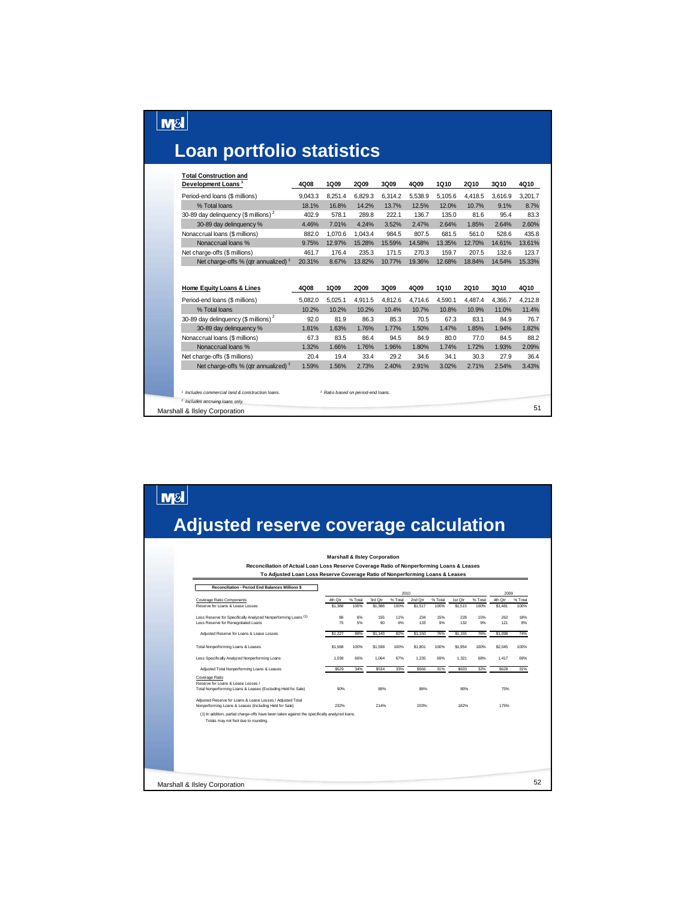# **Loan portfolio statistics**

 $\boxed{\text{MSI}}$ 

 $\boxed{\text{M8}}$ 

| <b>Total Construction and</b>                               |         |                                               |             |         |         |         |             |         |         |
|-------------------------------------------------------------|---------|-----------------------------------------------|-------------|---------|---------|---------|-------------|---------|---------|
| Development Loans <sup>1</sup>                              | 4Q08    | 1Q09                                          | 2Q09        | 3Q09    | 4Q09    | 1Q10    | 2Q10        | 3Q10    | 4Q10    |
| Period-end loans (\$ millions)                              | 9,043.3 | 8,251.4                                       | 6,829.3     | 6,314.2 | 5,538.9 | 5,105.6 | 4,418.5     | 3,616.9 | 3.201.7 |
| % Total loans                                               | 18.1%   | 16.8%                                         | 14.2%       | 13.7%   | 12.5%   | 12.0%   | 10.7%       | 9.1%    | 8.7%    |
| 30-89 day delinquency (\$ millions) <sup>2</sup>            | 402.9   | 578.1                                         | 289.8       | 222.1   | 136.7   | 135.0   | 81.6        | 95.4    | 83.3    |
| 30-89 day delinquency %                                     | 4.46%   | 7.01%                                         | 4.24%       | 3.52%   | 2.47%   | 2.64%   | 1.85%       | 2.64%   | 2.60%   |
| Nonaccrual loans (\$ millions)                              | 882.0   | 1,070.6                                       | 1,043.4     | 984.5   | 807.5   | 681.5   | 561.0       | 528.6   | 435.8   |
| Nonaccrual loans %                                          | 9.75%   | 12.97%                                        | 15.28%      | 15.59%  | 14.58%  | 13.35%  | 12.70%      | 14.61%  | 13.61%  |
| Net charge-offs (\$ millions)                               | 461.7   | 176.4                                         | 235.3       | 171.5   | 270.3   | 159.7   | 207.5       | 132.6   | 123.7   |
| Net charge-offs % (gtr annualized) 3                        | 20.31%  | 8.67%                                         | 13.82%      | 10.77%  | 19.36%  | 12.68%  | 18.84%      | 14.54%  | 15.33%  |
|                                                             |         |                                               |             |         |         |         |             |         |         |
| Home Equity Loans & Lines                                   | 4Q08    | 1Q09                                          | <b>2Q09</b> | 3Q09    | 4Q09    | 1Q10    | <b>2Q10</b> | 3Q10    | 4Q10    |
| Period-end loans (\$ millions)                              | 5,082.0 | 5,025.1                                       | 4.911.5     | 4,812.6 | 4,714.6 | 4,590.1 | 4,487.4     | 4.366.7 | 4,212.8 |
| % Total loans                                               | 10.2%   | 10.2%                                         | 10.2%       | 10.4%   | 10.7%   | 10.8%   | 10.9%       | 11.0%   | 11.4%   |
| 30-89 day delinquency (\$ millions) <sup>2</sup>            | 92.0    | 81.9                                          | 86.3        | 85.3    | 70.5    | 67.3    | 83.1        | 84.9    | 76.7    |
| 30-89 day delinquency %                                     | 1.81%   | 1.63%                                         | 1.76%       | 1.77%   | 1.50%   | 1.47%   | 1.85%       | 1.94%   | 1.82%   |
| Nonaccrual loans (\$ millions)                              | 67.3    | 83.5                                          | 86.4        | 94.5    | 84.9    | 80.0    | 77.0        | 84.5    | 88.2    |
| Nonaccrual loans %                                          | 1.32%   | 1.66%                                         | 1.76%       | 1.96%   | 1.80%   | 1.74%   | 1.72%       | 1.93%   | 2.09%   |
| Net charge-offs (\$ millions)                               | 20.4    | 19.4                                          | 33.4        | 29.2    | 34.6    | 34.1    | 30.3        | 27.9    | 36.4    |
| Net charge-offs % (qtr annualized) <sup>3</sup>             | 1.59%   | 1.56%                                         | 2.73%       | 2.40%   | 2.91%   | 3.02%   | 2.71%       | 2.54%   | 3.43%   |
|                                                             |         |                                               |             |         |         |         |             |         |         |
|                                                             |         |                                               |             |         |         |         |             |         |         |
| <sup>1</sup> Includes commercial land & construction loans. |         | <sup>3</sup> Ratio based on period-end loans. |             |         |         |         |             |         |         |
| <sup>2</sup> Includes accruing loans only.                  |         |                                               |             |         |         |         |             |         | 51      |
| Marshall & Ilsley Corporation                               |         |                                               |             |         |         |         |             |         |         |

#### **Adjusted reserve coverage calculation**

| Reconciliation - Period End Balances Millions \$                                                                                      |         |         |         | 2010    |         |         |         |         | 2009        |         |
|---------------------------------------------------------------------------------------------------------------------------------------|---------|---------|---------|---------|---------|---------|---------|---------|-------------|---------|
| Coverage Ratio Components                                                                                                             | 4th Qtr | % Total | 3rd Qtr | % Total | 2nd Qtr | % Total | 1st Qtr | % Total | 4th Qtr     | % Total |
| Reserve for Loans & Lease Losses                                                                                                      | \$1,388 | 100%    | \$1,388 | 100%    | \$1,517 | 100%    | \$1,515 | 100%    | \$1,481     | 100%    |
| Less Reserve for Specifically Analyzed Nonperforming Loans (1)                                                                        | 86      | 6%      | 155     | 11%     | 234     | 15%     | 228     | 15%     | 262         | 18%     |
| Less Reserve for Renegotiated Loans                                                                                                   | 75      | 5%      | 90      | 6%      | 133     | 9%      | 132     | 9%      | 121         | 8%      |
| Adjusted Reserve for Loans & Lease Losses                                                                                             | \$1,227 | 88%     | \$1,143 | 82%     | \$1,150 | 76%     | \$1,155 | 76%     | \$1,098     | 74%     |
| Total Nonperforming Loans & Leases                                                                                                    | \$1,568 | 100%    | \$1,598 | 100%    | S1.801  | 100%    | S1.954  | 100%    | \$2,045     | 100%    |
| Less Specifically Analyzed Nonperforming Loans                                                                                        | 1.039   | 66%     | 1.064   | 67%     | 1.235   | 69%     | 1.321   | 68%     | 1.417       | 69%     |
| Adjusted Total Nonperforming Loans & Leases                                                                                           | \$529   | 34%     | S534    | 33%     | \$566   | 31%     | S633    | 32%     | <b>S628</b> | 31%     |
| Coverage Ratio<br>Reserve for Loans & Lease Losses /                                                                                  |         |         |         |         |         |         |         |         |             |         |
| Total Nonperforming Loans & Leases (Excluding Held for Sale)                                                                          | 90%     |         | 89%     |         | 88%     |         | 80%     |         | 75%         |         |
| Adjusted Reserve for Loans & Lease Losses / Adjusted Total<br>Nonperforming Loans & Leases (Including Held for Sale)                  | 232%    |         | 214%    |         | 203%    |         | 182%    |         | 175%        |         |
| (1) In addition, partial charge-offs have been taken against the specifically analyzed loans.<br>Totals may not foot due to rounding. |         |         |         |         |         |         |         |         |             |         |
|                                                                                                                                       |         |         |         |         |         |         |         |         |             |         |
|                                                                                                                                       |         |         |         |         |         |         |         |         |             |         |
|                                                                                                                                       |         |         |         |         |         |         |         |         |             |         |